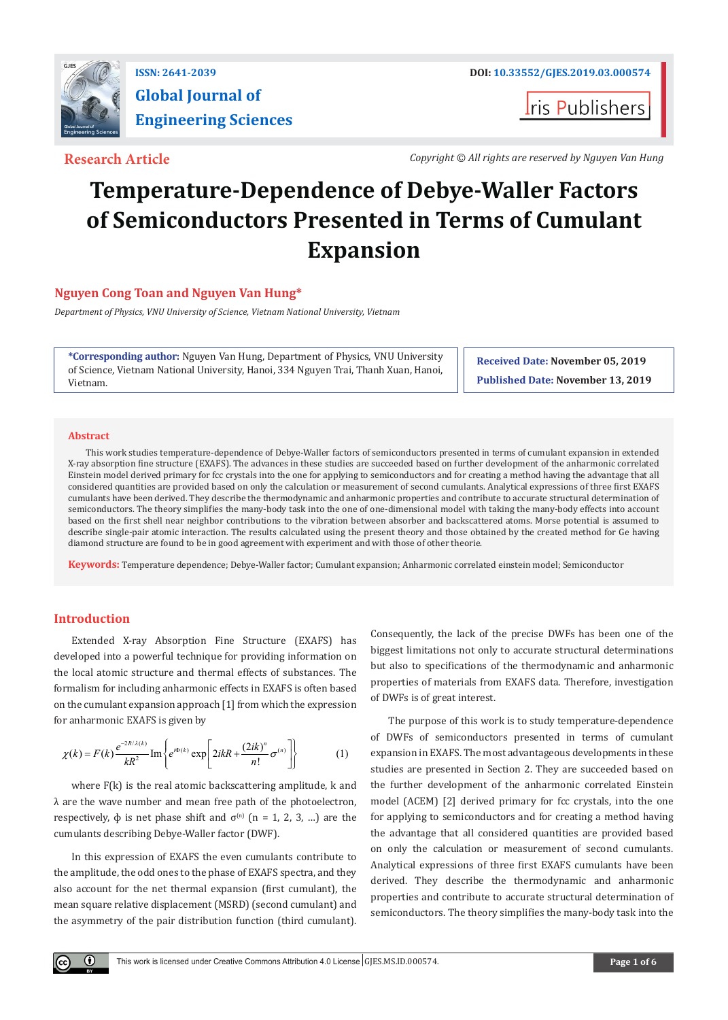

# **Global Journal of Engineering Sciences**

**I**ris Publishers

**Research Article** *Copyright © All rights are reserved by Nguyen Van Hung*

## **Temperature-Dependence of Debye-Waller Factors of Semiconductors Presented in Terms of Cumulant Expansion**

### **Nguyen Cong Toan and Nguyen Van Hung\***

*Department of Physics, VNU University of Science, Vietnam National University, Vietnam*

**\*Corresponding author:** Nguyen Van Hung, Department of Physics, VNU University of Science, Vietnam National University, Hanoi, 334 Nguyen Trai, Thanh Xuan, Hanoi, Vietnam.

**Received Date: November 05, 2019 Published Date: November 13, 2019**

#### **Abstract**

This work studies temperature-dependence of Debye-Waller factors of semiconductors presented in terms of cumulant expansion in extended X-ray absorption fine structure (EXAFS). The advances in these studies are succeeded based on further development of the anharmonic correlated Einstein model derived primary for fcc crystals into the one for applying to semiconductors and for creating a method having the advantage that all considered quantities are provided based on only the calculation or measurement of second cumulants. Analytical expressions of three first EXAFS cumulants have been derived. They describe the thermodynamic and anharmonic properties and contribute to accurate structural determination of semiconductors. The theory simplifies the many-body task into the one of one-dimensional model with taking the many-body effects into account based on the first shell near neighbor contributions to the vibration between absorber and backscattered atoms. Morse potential is assumed to describe single-pair atomic interaction. The results calculated using the present theory and those obtained by the created method for Ge having diamond structure are found to be in good agreement with experiment and with those of other theorie.

**Keywords:** Temperature dependence; Debye-Waller factor; Cumulant expansion; Anharmonic correlated einstein model; Semiconductor

#### **Introduction**

 $\left( \cdot \right)$ 

Extended X-ray Absorption Fine Structure (EXAFS) has developed into a powerful technique for providing information on the local atomic structure and thermal effects of substances. The formalism for including anharmonic effects in EXAFS is often based on the cumulant expansion approach [1] from which the expression for anharmonic EXAFS is given by

$$
\chi(k) = F(k) \frac{e^{-2R/\lambda(k)}}{kR^2} \operatorname{Im} \left\{ e^{i\Phi(k)} \exp \left[ 2ikR + \frac{(2ik)^n}{n!} \sigma^{(n)} \right] \right\} \tag{1}
$$

where F(k) is the real atomic backscattering amplitude, k and λ are the wave number and mean free path of the photoelectron, respectively,  $\phi$  is net phase shift and  $\sigma^{(n)}$  (n = 1, 2, 3, ...) are the cumulants describing Debye-Waller factor (DWF).

In this expression of EXAFS the even cumulants contribute to the amplitude, the odd ones to the phase of EXAFS spectra, and they also account for the net thermal expansion (first cumulant), the mean square relative displacement (MSRD) (second cumulant) and the asymmetry of the pair distribution function (third cumulant).

Consequently, the lack of the precise DWFs has been one of the biggest limitations not only to accurate structural determinations but also to specifications of the thermodynamic and anharmonic properties of materials from EXAFS data. Therefore, investigation of DWFs is of great interest.

The purpose of this work is to study temperature-dependence of DWFs of semiconductors presented in terms of cumulant expansion in EXAFS. The most advantageous developments in these studies are presented in Section 2. They are succeeded based on the further development of the anharmonic correlated Einstein model (ACEM) [2] derived primary for fcc crystals, into the one for applying to semiconductors and for creating a method having the advantage that all considered quantities are provided based on only the calculation or measurement of second cumulants. Analytical expressions of three first EXAFS cumulants have been derived. They describe the thermodynamic and anharmonic properties and contribute to accurate structural determination of semiconductors. The theory simplifies the many-body task into the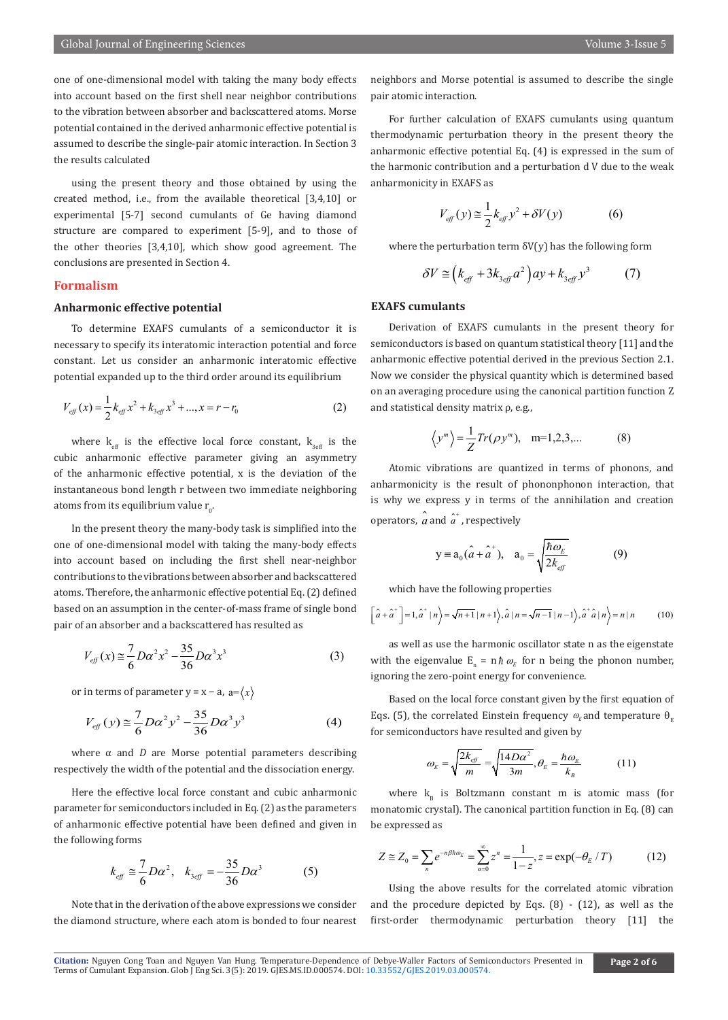one of one-dimensional model with taking the many body effects into account based on the first shell near neighbor contributions to the vibration between absorber and backscattered atoms. Morse potential contained in the derived anharmonic effective potential is assumed to describe the single-pair atomic interaction. In Section 3 the results calculated

using the present theory and those obtained by using the created method, i.e., from the available theoretical [3,4,10] or experimental [5-7] second cumulants of Ge having diamond structure are compared to experiment [5-9], and to those of the other theories [3,4,10], which show good agreement. The conclusions are presented in Section 4.

#### **Formalism**

#### **Anharmonic effective potential**

To determine EXAFS cumulants of a semiconductor it is necessary to specify its interatomic interaction potential and force constant. Let us consider an anharmonic interatomic effective potential expanded up to the third order around its equilibrium

$$
V_{\text{eff}}(x) = \frac{1}{2}k_{\text{eff}}x^2 + k_{3\text{eff}}x^3 + ..., x = r - r_0
$$
 (2)

where  $k_{\text{eff}}$  is the effective local force constant,  $k_{3\text{eff}}$  is the cubic anharmonic effective parameter giving an asymmetry of the anharmonic effective potential, x is the deviation of the instantaneous bond length r between two immediate neighboring atoms from its equilibrium value  $\rm r_{_0}\!\cdot$ 

In the present theory the many-body task is simplified into the one of one-dimensional model with taking the many-body effects into account based on including the first shell near-neighbor contributions to the vibrations between absorber and backscattered atoms. Therefore, the anharmonic effective potential Eq. (2) defined based on an assumption in the center-of-mass frame of single bond pair of an absorber and a backscattered has resulted as

$$
V_{\text{eff}}(x) \approx \frac{7}{6} D \alpha^2 x^2 - \frac{35}{36} D \alpha^3 x^3 \tag{3}
$$

or in terms of parameter  $y = x - a$ ,  $a = \langle x \rangle$ 

$$
V_{\text{eff}}(y) \approx \frac{7}{6} D\alpha^2 y^2 - \frac{35}{36} D\alpha^3 y^3 \tag{4}
$$

where α and *D* are Morse potential parameters describing respectively the width of the potential and the dissociation energy.

Here the effective local force constant and cubic anharmonic parameter for semiconductors included in Eq. (2) as the parameters of anharmonic effective potential have been defined and given in the following forms

$$
k_{\text{eff}} \cong \frac{7}{6} D\alpha^2, \quad k_{3\text{eff}} = -\frac{35}{36} D\alpha^3 \tag{5}
$$

Note that in the derivation of the above expressions we consider the diamond structure, where each atom is bonded to four nearest neighbors and Morse potential is assumed to describe the single pair atomic interaction.

For further calculation of EXAFS cumulants using quantum thermodynamic perturbation theory in the present theory the anharmonic effective potential Eq. (4) is expressed in the sum of the harmonic contribution and a perturbation d V due to the weak anharmonicity in EXAFS as

$$
V_{\text{eff}}(y) \approx \frac{1}{2} k_{\text{eff}} y^2 + \delta V(y) \tag{6}
$$

where the perturbation term  $\delta V(y)$  has the following form

$$
\delta V \cong \left(k_{\text{eff}} + 3k_{3\text{eff}}a^2\right)ay + k_{3\text{eff}}y^3\tag{7}
$$

#### **EXAFS cumulants**

Derivation of EXAFS cumulants in the present theory for semiconductors is based on quantum statistical theory [11] and the anharmonic effective potential derived in the previous Section 2.1. Now we consider the physical quantity which is determined based on an averaging procedure using the canonical partition function Z and statistical density matrix ρ, e.g.,

$$
\langle y^m \rangle = \frac{1}{Z} Tr(\rho y^m), \quad m=1,2,3,...
$$
 (8)

Atomic vibrations are quantized in terms of phonons, and anharmonicity is the result of phononphonon interaction, that is why we express y in terms of the annihilation and creation operators,  $\hat{a}$  and  $\hat{a}^*$ , respectively

$$
y = a_0(\hat{a} + \hat{a}^+), \quad a_0 = \sqrt{\frac{\hbar \omega_E}{2k_{\text{eff}}}} \tag{9}
$$

which have the following properties

$$
\left[\hat{a} + \hat{a}^+\right] = 1, \hat{a}^+ \mid n\rangle = \sqrt{n+1} \mid n+1\rangle, \hat{a} \mid n = \sqrt{n-1} \mid n-1\rangle, \hat{a}^+ \hat{a} \mid n\rangle = n \mid n
$$
 (10)

as well as use the harmonic oscillator state n as the eigenstate with the eigenvalue  $E_n = n \hbar \omega_E$  for n being the phonon number, ignoring the zero-point energy for convenience.

Based on the local force constant given by the first equation of Eqs. (5), the correlated Einstein frequency  $\omega_{\rm E}$  and temperature  $\theta_{\rm E}$ for semiconductors have resulted and given by

$$
\omega_{E} = \sqrt{\frac{2k_{eff}}{m}} = \sqrt{\frac{14D\alpha^{2}}{3m}}, \theta_{E} = \frac{\hbar\omega_{E}}{k_{B}}
$$
(11)

where  $k_{B}$  is Boltzmann constant m is atomic mass (for monatomic crystal). The canonical partition function in Eq. (8) can be expressed as

$$
Z \cong Z_0 = \sum_n e^{-n\beta \hbar \omega_E} = \sum_{n=0}^{\infty} z^n = \frac{1}{1-z}, z = \exp(-\theta_E / T)
$$
 (12)

Using the above results for the correlated atomic vibration and the procedure depicted by Eqs.  $(8)$  -  $(12)$ , as well as the first-order thermodynamic perturbation theory [11] the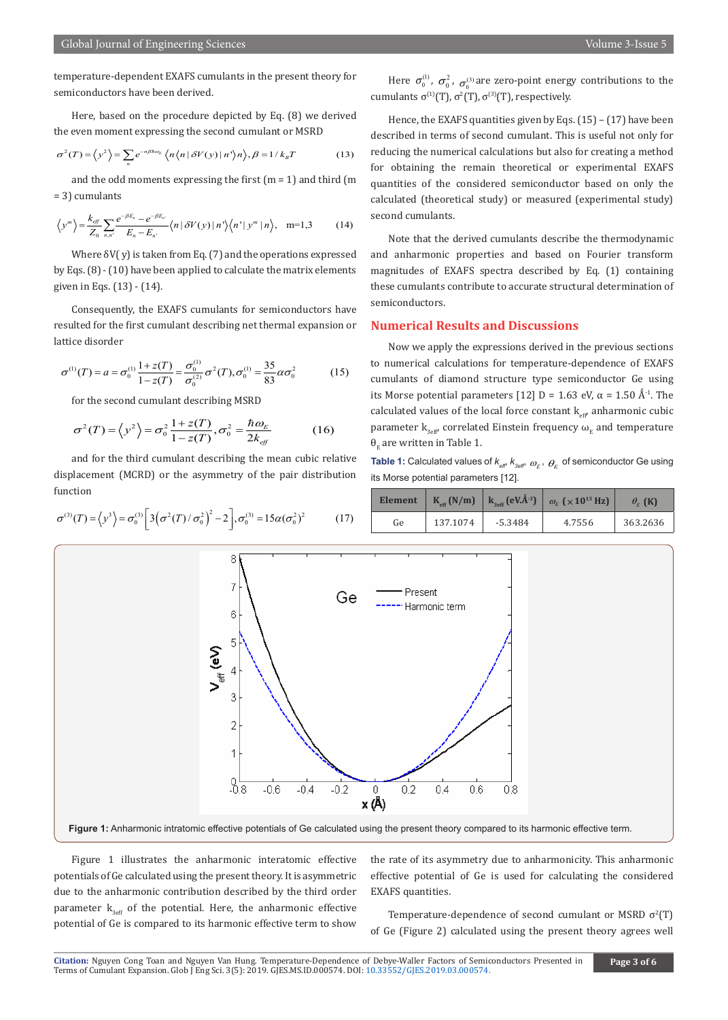temperature-dependent EXAFS cumulants in the present theory for semiconductors have been derived.

Here, based on the procedure depicted by Eq. (8) we derived the even moment expressing the second cumulant or MSRD

$$
\sigma^2(T) = \langle y^2 \rangle = \sum_n e^{-n\beta \hbar \omega_E} \langle n \langle n | \delta V(y) | n \rangle n \rangle, \beta = 1 / k_B T \tag{13}
$$

and the odd moments expressing the first  $(m = 1)$  and third  $(m = 1)$ = 3) cumulants

$$
\left\langle y^m \right\rangle = \frac{k_{\text{eff}}}{Z_0} \sum_{n,n'} \frac{e^{-\beta E_n} - e^{-\beta E_n}}{E_n - E_{n'}} \left\langle n \left| \delta V(y) \right| n' \right\rangle \left\langle n' \right| y^m \left| n \right\rangle, \quad m=1,3 \tag{14}
$$

Where  $\delta V(y)$  is taken from Eq. (7) and the operations expressed by Eqs. (8) - (10) have been applied to calculate the matrix elements given in Eqs. (13) - (14).

Consequently, the EXAFS cumulants for semiconductors have resulted for the first cumulant describing net thermal expansion or lattice disorder

$$
\sigma^{(1)}(T) = a = \sigma_0^{(1)} \frac{1 + z(T)}{1 - z(T)} = \frac{\sigma_0^{(1)}}{\sigma_0^{(2)}} \sigma^2(T), \sigma_0^{(1)} = \frac{35}{83} \alpha \sigma_0^2 \tag{15}
$$

for the second cumulant describing MSRD

$$
\sigma^2(T) = \left\langle y^2 \right\rangle = \sigma_0^2 \frac{1 + z(T)}{1 - z(T)}, \sigma_0^2 = \frac{\hbar \omega_E}{2k_{\text{eff}}}
$$
(16)

and for the third cumulant describing the mean cubic relative displacement (MCRD) or the asymmetry of the pair distribution function

$$
\sigma^{(3)}(T) = \langle y^3 \rangle = \sigma_0^{(3)} \left[ 3 \left( \sigma^2(T) / \sigma_0^2 \right)^2 - 2 \right], \sigma_0^{(3)} = 15 \alpha (\sigma_0^2)^2 \tag{17}
$$

Here  $\sigma_0^{(1)}$ ,  $\sigma_0^2$ ,  $\sigma_0^{(3)}$  are zero-point energy contributions to the cumulants  $\sigma^{(1)}(T)$ ,  $\sigma^{(2)}(T)$ ,  $\sigma^{(3)}(T)$ , respectively.

Hence, the EXAFS quantities given by Eqs. (15) – (17) have been described in terms of second cumulant. This is useful not only for reducing the numerical calculations but also for creating a method for obtaining the remain theoretical or experimental EXAFS quantities of the considered semiconductor based on only the calculated (theoretical study) or measured (experimental study) second cumulants.

Note that the derived cumulants describe the thermodynamic and anharmonic properties and based on Fourier transform magnitudes of EXAFS spectra described by Eq. (1) containing these cumulants contribute to accurate structural determination of semiconductors.

#### **Numerical Results and Discussions**

Now we apply the expressions derived in the previous sections to numerical calculations for temperature-dependence of EXAFS cumulants of diamond structure type semiconductor Ge using its Morse potential parameters [12] D = 1.63 eV,  $\alpha$  = 1.50 Å<sup>-1</sup>. The calculated values of the local force constant  $k_{\text{eff}}$  anharmonic cubic parameter  $k_{3eff}$  correlated Einstein frequency  $\omega_{r}$  and temperature  $\theta_r$  are written in Table 1.

**Table 1:** Calculated values of  $k_{\text{eff}}$ ,  $k_{\text{3eff}}$ ,  $\omega_{\text{F}}$ ,  $\theta_{\text{F}}$  of semiconductor Ge using its Morse potential parameters [12].

|    |          |         | Element   K <sub>eff</sub> (N/m)   K <sub>3eff</sub> (eV.Â <sup>-3</sup> )   $\omega_E$ ( $\times$ 10 <sup>13</sup> Hz) | $\theta_{\rm r}$ (K) |
|----|----------|---------|-------------------------------------------------------------------------------------------------------------------------|----------------------|
| Ge | 137.1074 | -5.3484 | 4.7556                                                                                                                  | 363.2636             |



Figure 1 illustrates the anharmonic interatomic effective potentials of Ge calculated using the present theory. It is asymmetric due to the anharmonic contribution described by the third order parameter  $k_{3eff}$  of the potential. Here, the anharmonic effective potential of Ge is compared to its harmonic effective term to show

the rate of its asymmetry due to anharmonicity. This anharmonic effective potential of Ge is used for calculating the considered EXAFS quantities.

Temperature-dependence of second cumulant or MSRD  $\sigma^2(T)$ of Ge (Figure 2) calculated using the present theory agrees well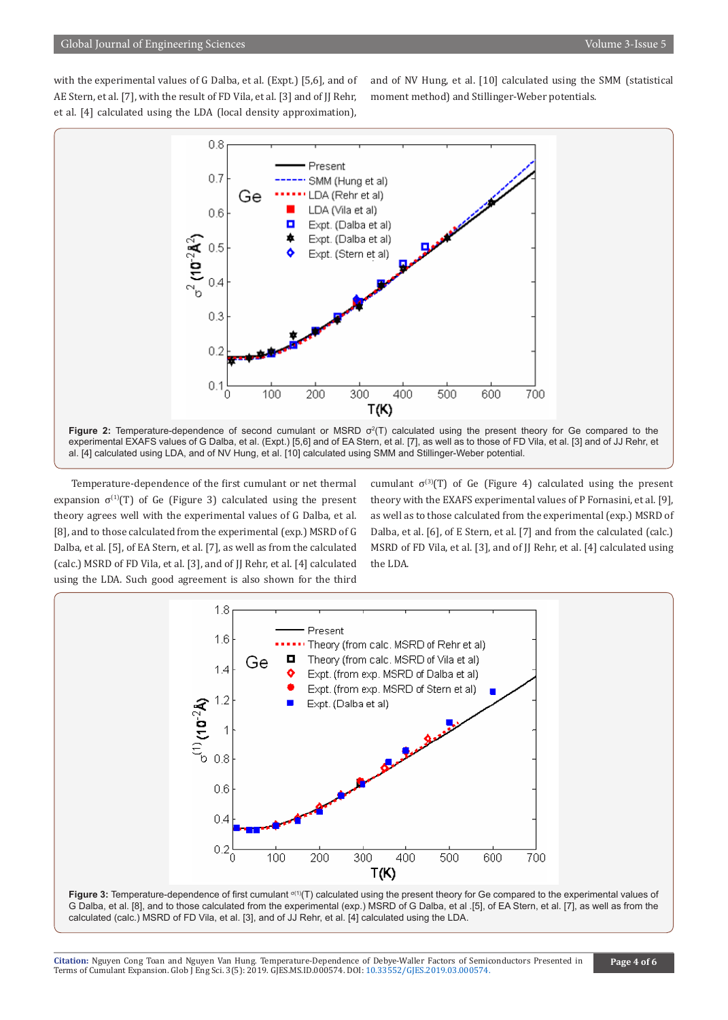with the experimental values of G Dalba, et al. (Expt.) [5,6], and of AE Stern, et al. [7], with the result of FD Vila, et al. [3] and of JJ Rehr, et al. [4] calculated using the LDA (local density approximation),

and of NV Hung, et al. [10] calculated using the SMM (statistical moment method) and Stillinger-Weber potentials.



Temperature-dependence of the first cumulant or net thermal expansion  $\sigma^{(1)}(T)$  of Ge (Figure 3) calculated using the present theory agrees well with the experimental values of G Dalba, et al. [8], and to those calculated from the experimental (exp.) MSRD of G Dalba, et al. [5], of EA Stern, et al. [7], as well as from the calculated (calc.) MSRD of FD Vila, et al. [3], and of JJ Rehr, et al. [4] calculated using the LDA. Such good agreement is also shown for the third

cumulant  $\sigma^{(3)}(T)$  of Ge (Figure 4) calculated using the present theory with the EXAFS experimental values of P Fornasini, et al. [9], as well as to those calculated from the experimental (exp.) MSRD of Dalba, et al. [6], of E Stern, et al. [7] and from the calculated (calc.) MSRD of FD Vila, et al. [3], and of JJ Rehr, et al. [4] calculated using the LDA.



G Dalba, et al. [8], and to those calculated from the experimental (exp.) MSRD of G Dalba, et al .[5], of EA Stern, et al. [7], as well as from the calculated (calc.) MSRD of FD Vila, et al. [3], and of JJ Rehr, et al. [4] calculated using the LDA.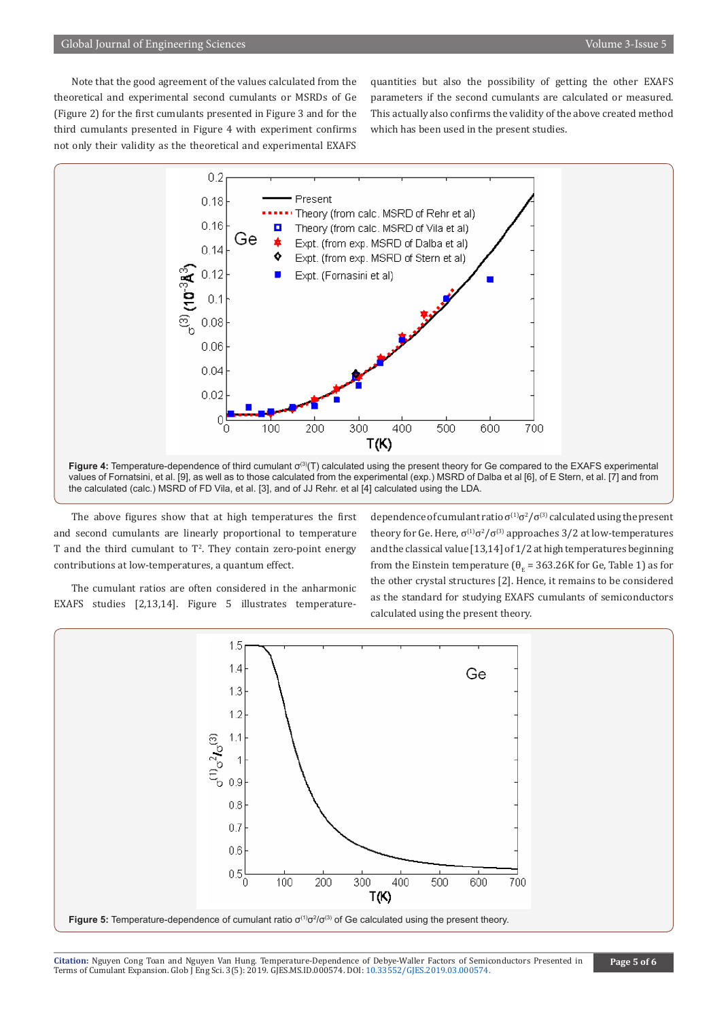Note that the good agreement of the values calculated from the theoretical and experimental second cumulants or MSRDs of Ge (Figure 2) for the first cumulants presented in Figure 3 and for the third cumulants presented in Figure 4 with experiment confirms not only their validity as the theoretical and experimental EXAFS

quantities but also the possibility of getting the other EXAFS parameters if the second cumulants are calculated or measured. This actually also confirms the validity of the above created method which has been used in the present studies.



The above figures show that at high temperatures the first and second cumulants are linearly proportional to temperature T and the third cumulant to T<sup>2</sup>. They contain zero-point energy contributions at low-temperatures, a quantum effect.

The cumulant ratios are often considered in the anharmonic EXAFS studies [2,13,14]. Figure 5 illustrates temperature-

dependence of cumulant ratio  $\sigma^{(1)}\sigma^2/\sigma^{(3)}$  calculated using the present theory for Ge. Here,  $\sigma^{(1)}\sigma^2/\sigma^{(3)}$  approaches 3/2 at low-temperatures and the classical value [13,14] of 1/2 at high temperatures beginning from the Einstein temperature ( $\theta_{\rm E}$  = 363.26K for Ge, Table 1) as for the other crystal structures [2]. Hence, it remains to be considered as the standard for studying EXAFS cumulants of semiconductors calculated using the present theory.